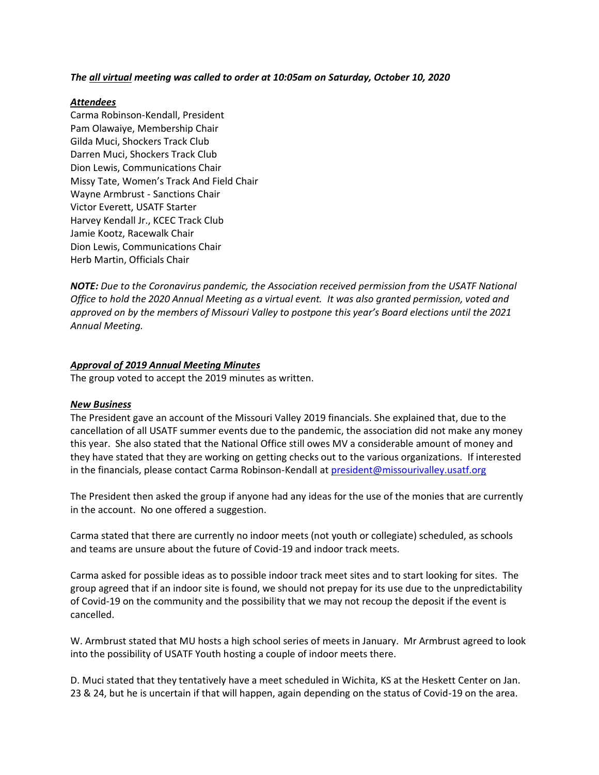#### *The all virtual meeting was called to order at 10:05am on Saturday, October 10, 2020*

### *Attendees*

Carma Robinson-Kendall, President Pam Olawaiye, Membership Chair Gilda Muci, Shockers Track Club Darren Muci, Shockers Track Club Dion Lewis, Communications Chair Missy Tate, Women's Track And Field Chair Wayne Armbrust - Sanctions Chair Victor Everett, USATF Starter Harvey Kendall Jr., KCEC Track Club Jamie Kootz, Racewalk Chair Dion Lewis, Communications Chair Herb Martin, Officials Chair

*NOTE: Due to the Coronavirus pandemic, the Association received permission from the USATF National Office to hold the 2020 Annual Meeting as a virtual event. It was also granted permission, voted and approved on by the members of Missouri Valley to postpone this year's Board elections until the 2021 Annual Meeting.*

#### *Approval of 2019 Annual Meeting Minutes*

The group voted to accept the 2019 minutes as written.

#### *New Business*

The President gave an account of the Missouri Valley 2019 financials. She explained that, due to the cancellation of all USATF summer events due to the pandemic, the association did not make any money this year. She also stated that the National Office still owes MV a considerable amount of money and they have stated that they are working on getting checks out to the various organizations. If interested in the financials, please contact Carma Robinson-Kendall at president@missourivalley.usatf.org

The President then asked the group if anyone had any ideas for the use of the monies that are currently in the account. No one offered a suggestion.

Carma stated that there are currently no indoor meets (not youth or collegiate) scheduled, as schools and teams are unsure about the future of Covid-19 and indoor track meets.

Carma asked for possible ideas as to possible indoor track meet sites and to start looking for sites. The group agreed that if an indoor site is found, we should not prepay for its use due to the unpredictability of Covid-19 on the community and the possibility that we may not recoup the deposit if the event is cancelled.

W. Armbrust stated that MU hosts a high school series of meets in January. Mr Armbrust agreed to look into the possibility of USATF Youth hosting a couple of indoor meets there.

D. Muci stated that they tentatively have a meet scheduled in Wichita, KS at the Heskett Center on Jan. 23 & 24, but he is uncertain if that will happen, again depending on the status of Covid-19 on the area.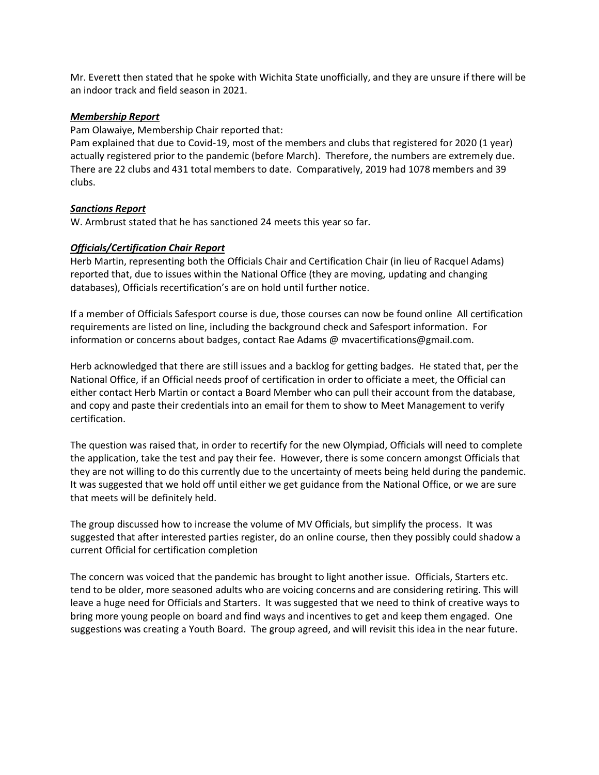Mr. Everett then stated that he spoke with Wichita State unofficially, and they are unsure if there will be an indoor track and field season in 2021.

#### *Membership Report*

Pam Olawaiye, Membership Chair reported that:

Pam explained that due to Covid-19, most of the members and clubs that registered for 2020 (1 year) actually registered prior to the pandemic (before March). Therefore, the numbers are extremely due. There are 22 clubs and 431 total members to date. Comparatively, 2019 had 1078 members and 39 clubs.

# *Sanctions Report*

W. Armbrust stated that he has sanctioned 24 meets this year so far.

# *Officials/Certification Chair Report*

Herb Martin, representing both the Officials Chair and Certification Chair (in lieu of Racquel Adams) reported that, due to issues within the National Office (they are moving, updating and changing databases), Officials recertification's are on hold until further notice.

If a member of Officials Safesport course is due, those courses can now be found online All certification requirements are listed on line, including the background check and Safesport information. For information or concerns about badges, contact Rae Adams @ mvacertifications@gmail.com.

Herb acknowledged that there are still issues and a backlog for getting badges. He stated that, per the National Office, if an Official needs proof of certification in order to officiate a meet, the Official can either contact Herb Martin or contact a Board Member who can pull their account from the database, and copy and paste their credentials into an email for them to show to Meet Management to verify certification.

The question was raised that, in order to recertify for the new Olympiad, Officials will need to complete the application, take the test and pay their fee. However, there is some concern amongst Officials that they are not willing to do this currently due to the uncertainty of meets being held during the pandemic. It was suggested that we hold off until either we get guidance from the National Office, or we are sure that meets will be definitely held.

The group discussed how to increase the volume of MV Officials, but simplify the process. It was suggested that after interested parties register, do an online course, then they possibly could shadow a current Official for certification completion

The concern was voiced that the pandemic has brought to light another issue. Officials, Starters etc. tend to be older, more seasoned adults who are voicing concerns and are considering retiring. This will leave a huge need for Officials and Starters. It was suggested that we need to think of creative ways to bring more young people on board and find ways and incentives to get and keep them engaged. One suggestions was creating a Youth Board. The group agreed, and will revisit this idea in the near future.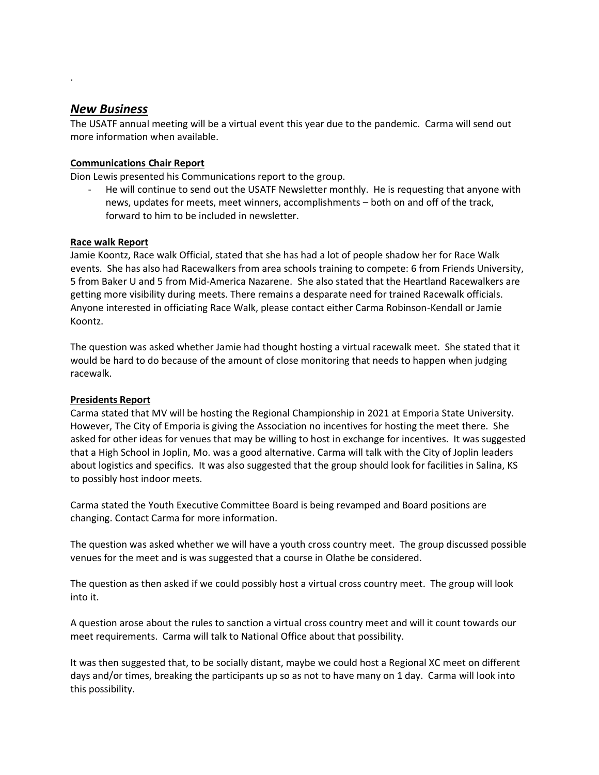# *New Business*

.

The USATF annual meeting will be a virtual event this year due to the pandemic. Carma will send out more information when available.

# **Communications Chair Report**

Dion Lewis presented his Communications report to the group.

- He will continue to send out the USATF Newsletter monthly. He is requesting that anyone with news, updates for meets, meet winners, accomplishments – both on and off of the track, forward to him to be included in newsletter.

# **Race walk Report**

Jamie Koontz, Race walk Official, stated that she has had a lot of people shadow her for Race Walk events. She has also had Racewalkers from area schools training to compete: 6 from Friends University, 5 from Baker U and 5 from Mid-America Nazarene. She also stated that the Heartland Racewalkers are getting more visibility during meets. There remains a desparate need for trained Racewalk officials. Anyone interested in officiating Race Walk, please contact either Carma Robinson-Kendall or Jamie Koontz.

The question was asked whether Jamie had thought hosting a virtual racewalk meet. She stated that it would be hard to do because of the amount of close monitoring that needs to happen when judging racewalk.

# **Presidents Report**

Carma stated that MV will be hosting the Regional Championship in 2021 at Emporia State University. However, The City of Emporia is giving the Association no incentives for hosting the meet there. She asked for other ideas for venues that may be willing to host in exchange for incentives. It was suggested that a High School in Joplin, Mo. was a good alternative. Carma will talk with the City of Joplin leaders about logistics and specifics. It was also suggested that the group should look for facilities in Salina, KS to possibly host indoor meets.

Carma stated the Youth Executive Committee Board is being revamped and Board positions are changing. Contact Carma for more information.

The question was asked whether we will have a youth cross country meet. The group discussed possible venues for the meet and is was suggested that a course in Olathe be considered.

The question as then asked if we could possibly host a virtual cross country meet. The group will look into it.

A question arose about the rules to sanction a virtual cross country meet and will it count towards our meet requirements. Carma will talk to National Office about that possibility.

It was then suggested that, to be socially distant, maybe we could host a Regional XC meet on different days and/or times, breaking the participants up so as not to have many on 1 day. Carma will look into this possibility.